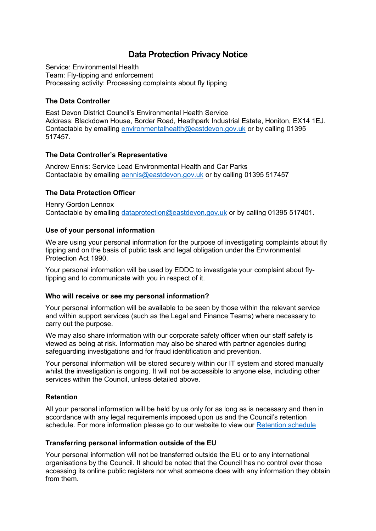# **Data Protection Privacy Notice**

Service: Environmental Health Team: Fly-tipping and enforcement Processing activity: Processing complaints about fly tipping

### **The Data Controller**

East Devon District Council's Environmental Health Service Address: Blackdown House, Border Road, Heathpark Industrial Estate, Honiton, EX14 1EJ. Contactable by emailing [environmentalhealth@eastdevon.gov.uk](mailto:environmentalhealth@eastdevon.gov.uk) or by calling 01395 517457.

#### **The Data Controller's Representative**

Andrew Ennis: Service Lead Environmental Health and Car Parks Contactable by emailing [aennis@eastdevon.gov.uk](mailto:aennis@eastdevon.gov.uk) or by calling 01395 517457

## **The Data Protection Officer**

Henry Gordon Lennox Contactable by emailing [dataprotection@eastdevon.gov.uk](mailto:dataprotection@eastdevon.gov.uk) or by calling 01395 517401.

#### **Use of your personal information**

We are using your personal information for the purpose of investigating complaints about fly tipping and on the basis of public task and legal obligation under the Environmental Protection Act 1990.

Your personal information will be used by EDDC to investigate your complaint about flytipping and to communicate with you in respect of it.

#### **Who will receive or see my personal information?**

Your personal information will be available to be seen by those within the relevant service and within support services (such as the Legal and Finance Teams) where necessary to carry out the purpose.

We may also share information with our corporate safety officer when our staff safety is viewed as being at risk. Information may also be shared with partner agencies during safeguarding investigations and for fraud identification and prevention.

Your personal information will be stored securely within our IT system and stored manually whilst the investigation is ongoing. It will not be accessible to anyone else, including other services within the Council, unless detailed above.

#### **Retention**

All your personal information will be held by us only for as long as is necessary and then in accordance with any legal requirements imposed upon us and the Council's retention schedule. For more information please go to our website to view our [Retention schedule](http://eastdevon.gov.uk/access-to-information/data-protection/document-retention-schedules/)

#### **Transferring personal information outside of the EU**

Your personal information will not be transferred outside the EU or to any international organisations by the Council. It should be noted that the Council has no control over those accessing its online public registers nor what someone does with any information they obtain from them.